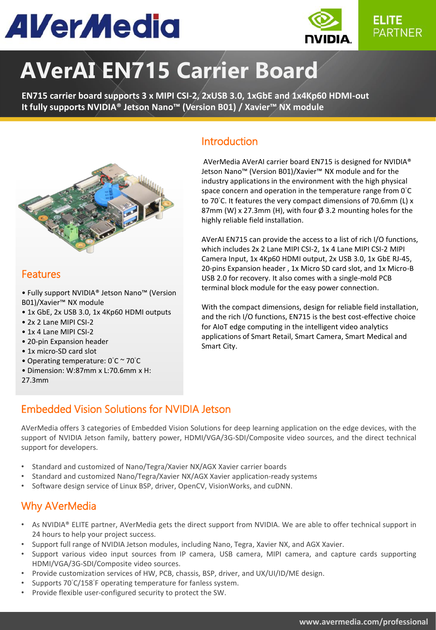# **AVerMedia**



## **AVerAI EN715 Carrier Board**

**EN715 carrier board supports 3 x MIPI CSI-2, 2xUSB 3.0, 1xGbE and 1x4Kp60 HDMI-out It fully supports NVIDIA® Jetson Nano™ (Version B01) / Xavier™ NX module** 



#### **Features**

• Fully support NVIDIA® Jetson Nano™ (Version B01)/Xavier™ NX module

- 1x GbE, 2x USB 3.0, 1x 4Kp60 HDMI outputs
- 2x 2 Lane MIPI CSI-2
- 1x 4 Lane MIPI CSI-2
- 20-pin Expansion header
- 1x micro-SD card slot
- Operating temperature: 0°C ~ 70°C
- Dimension: W:87mm x L:70.6mm x H:
- 27.3mm

#### Introduction

 AVerMedia AVerAI carrier board EN715 is designed for NVIDIA® Jetson Nano™ (Version B01)/Xavier™ NX module and for the industry applications in the environment with the high physical space concern and operation in the temperature range from  $0^{\circ}$ C to 70°C. It features the very compact dimensions of 70.6mm (L) x 87mm (W) x 27.3mm (H), with four  $\emptyset$  3.2 mounting holes for the highly reliable field installation.

AVerAI EN715 can provide the access to a list of rich I/O functions, which includes 2x 2 Lane MIPI CSI-2, 1x 4 Lane MIPI CSI-2 MIPI Camera Input, 1x 4Kp60 HDMI output, 2x USB 3.0, 1x GbE RJ-45, 20-pins Expansion header , 1x Micro SD card slot, and 1x Micro-B USB 2.0 for recovery. It also comes with a single-mold PCB terminal block module for the easy power connection.

With the compact dimensions, design for reliable field installation, and the rich I/O functions, EN715 is the best cost-effective choice for AIoT edge computing in the intelligent video analytics applications of Smart Retail, Smart Camera, Smart Medical and Smart City.

#### Embedded Vision Solutions for NVIDIA Jetson

AVerMedia offers 3 categories of Embedded Vision Solutions for deep learning application on the edge devices, with the support of NVIDIA Jetson family, battery power, HDMI/VGA/3G-SDI/Composite video sources, and the direct technical support for developers.

- Standard and customized of Nano/Tegra/Xavier NX/AGX Xavier carrier boards
- Standard and customized Nano/Tegra/Xavier NX/AGX Xavier application-ready systems
- Software design service of Linux BSP, driver, OpenCV, VisionWorks, and cuDNN.

#### Why AVerMedia

- As NVIDIA® ELITE partner, AVerMedia gets the direct support from NVIDIA. We are able to offer technical support in 24 hours to help your project success.
- Support full range of NVIDIA Jetson modules, including Nano, Tegra, Xavier NX, and AGX Xavier.
- Support various video input sources from IP camera, USB camera, MIPI camera, and capture cards supporting HDMI/VGA/3G-SDI/Composite video sources.
- Provide customization services of HW, PCB, chassis, BSP, driver, and UX/UI/ID/ME design.
- Supports 70°C/158°F operating temperature for fanless system.
- Provide flexible user-configured security to protect the SW.